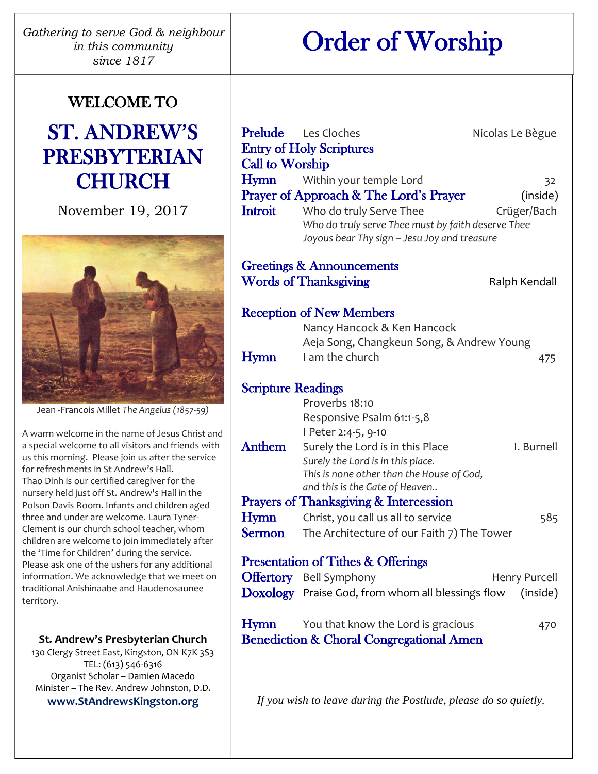*Gathering to serve God & neighbour in this community since 1817*

# Order of Worship

## WELCOME TO

## ST. ANDREW'S PRESBYTERIAN **CHURCH**

November 19, 2017



Jean -Francois Millet *The Angelus (1857-59)*

A warm welcome in the name of Jesus Christ and a special welcome to all visitors and friends with us this morning. Please join us after the service for refreshments in St Andrew's Hall. Thao Dinh is our certified caregiver for the nursery held just off St. Andrew's Hall in the Polson Davis Room. Infants and children aged three and under are welcome. Laura Tyner-Clement is our church school teacher, whom children are welcome to join immediately after the 'Time for Children' during the service. Please ask one of the ushers for any additional information. We acknowledge that we meet on traditional Anishinaabe and Haudenosaunee territory.

**St. Andrew's Presbyterian Church** 130 Clergy Street East, Kingston, ON K7K 3S3 TEL: (613) 546-6316

Organist Scholar – Damien Macedo Minister – The Rev. Andrew Johnston, D.D. **www.StAndrewsKingston.org**

| <b>Call to Worship</b>                                         | <b>Prelude</b> Les Cloches<br><b>Entry of Holy Scriptures</b>                                                                                                                                            | Nicolas Le Bègue              |  |
|----------------------------------------------------------------|----------------------------------------------------------------------------------------------------------------------------------------------------------------------------------------------------------|-------------------------------|--|
| Hymn<br><b>Introit</b>                                         | Within your temple Lord<br>Prayer of Approach & The Lord's Prayer<br>Who do truly Serve Thee<br>Who do truly serve Thee must by faith deserve Thee<br>Joyous bear Thy sign - Jesu Joy and treasure       | 32<br>(inside)<br>Crüger/Bach |  |
|                                                                | <b>Greetings &amp; Announcements</b><br><b>Words of Thanksgiving</b>                                                                                                                                     | Ralph Kendall                 |  |
| <b>Reception of New Members</b><br>Nancy Hancock & Ken Hancock |                                                                                                                                                                                                          |                               |  |
| Hymn                                                           | Aeja Song, Changkeun Song, & Andrew Young<br>I am the church                                                                                                                                             | 475                           |  |
| <b>Scripture Readings</b><br>Proverbs 18:10                    |                                                                                                                                                                                                          |                               |  |
| Anthem                                                         | Responsive Psalm 61:1-5,8<br>l Peter 2:4-5, 9-10<br>Surely the Lord is in this Place<br>Surely the Lord is in this place.<br>This is none other than the House of God,<br>and this is the Gate of Heaven | I. Burnell                    |  |
| Hymn<br><b>Sermon</b>                                          | <b>Prayers of Thanksgiving &amp; Intercession</b><br>Christ, you call us all to service<br>The Architecture of our Faith 7) The Tower                                                                    | 585                           |  |
| <b>Presentation of Tithes &amp; Offerings</b>                  |                                                                                                                                                                                                          |                               |  |
|                                                                | <b>Offertory</b> Bell Symphony<br><b>Doxology</b> Praise God, from whom all blessings flow                                                                                                               | Henry Purcell<br>(inside)     |  |
| Hymn                                                           | You that know the Lord is gracious<br><b>Benediction &amp; Choral Congregational Amen</b>                                                                                                                | 470                           |  |

*If you wish to leave during the Postlude, please do so quietly.*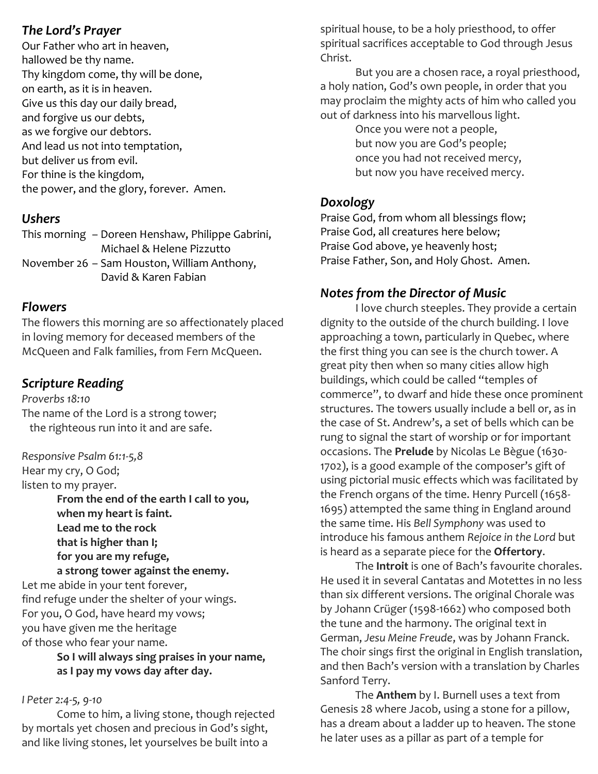## *The Lord's Prayer*

Our Father who art in heaven, hallowed be thy name. Thy kingdom come, thy will be done, on earth, as it is in heaven. Give us this day our daily bread, and forgive us our debts, as we forgive our debtors. And lead us not into temptation, but deliver us from evil. For thine is the kingdom, the power, and the glory, forever. Amen.

## *Ushers*

This morning – Doreen Henshaw, Philippe Gabrini, Michael & Helene Pizzutto November 26 – Sam Houston, William Anthony, David & Karen Fabian

## *Flowers*

The flowers this morning are so affectionately placed in loving memory for deceased members of the McQueen and Falk families, from Fern McQueen.

## *Scripture Reading*

*Proverbs 18:10* The name of the Lord is a strong tower; the righteous run into it and are safe.

*Responsive Psalm 61:1-5,8* Hear my cry, O God; listen to my prayer. **From the end of the earth I call to you, when my heart is faint. Lead me to the rock that is higher than I; for you are my refuge, a strong tower against the enemy.** Let me abide in your tent forever, find refuge under the shelter of your wings. For you, O God, have heard my vows; you have given me the heritage of those who fear your name.

> **So I will always sing praises in your name, as I pay my vows day after day.**

#### *I Peter 2:4-5, 9-10*

Come to him, a living stone, though rejected by mortals yet chosen and precious in God's sight, and like living stones, let yourselves be built into a

spiritual house, to be a holy priesthood, to offer spiritual sacrifices acceptable to God through Jesus Christ.

But you are a chosen race, a royal priesthood, a holy nation, God's own people, in order that you may proclaim the mighty acts of him who called you out of darkness into his marvellous light.

> Once you were not a people, but now you are God's people; once you had not received mercy, but now you have received mercy.

## *Doxology*

Praise God, from whom all blessings flow; Praise God, all creatures here below; Praise God above, ye heavenly host; Praise Father, Son, and Holy Ghost. Amen.

## *Notes from the Director of Music*

I love church steeples. They provide a certain dignity to the outside of the church building. I love approaching a town, particularly in Quebec, where the first thing you can see is the church tower. A great pity then when so many cities allow high buildings, which could be called "temples of commerce", to dwarf and hide these once prominent structures. The towers usually include a bell or, as in the case of St. Andrew's, a set of bells which can be rung to signal the start of worship or for important occasions. The **Prelude** by Nicolas Le Bègue (1630- 1702), is a good example of the composer's gift of using pictorial music effects which was facilitated by the French organs of the time. Henry Purcell (1658- 1695) attempted the same thing in England around the same time. His *Bell Symphony* was used to introduce his famous anthem *Rejoice in the Lord* but is heard as a separate piece for the **Offertory**.

The **Introit** is one of Bach's favourite chorales. He used it in several Cantatas and Motettes in no less than six different versions. The original Chorale was by Johann Crüger (1598-1662) who composed both the tune and the harmony. The original text in German, *Jesu Meine Freude*, was by Johann Franck. The choir sings first the original in English translation, and then Bach's version with a translation by Charles Sanford Terry.

The **Anthem** by I. Burnell uses a text from Genesis 28 where Jacob, using a stone for a pillow, has a dream about a ladder up to heaven. The stone he later uses as a pillar as part of a temple for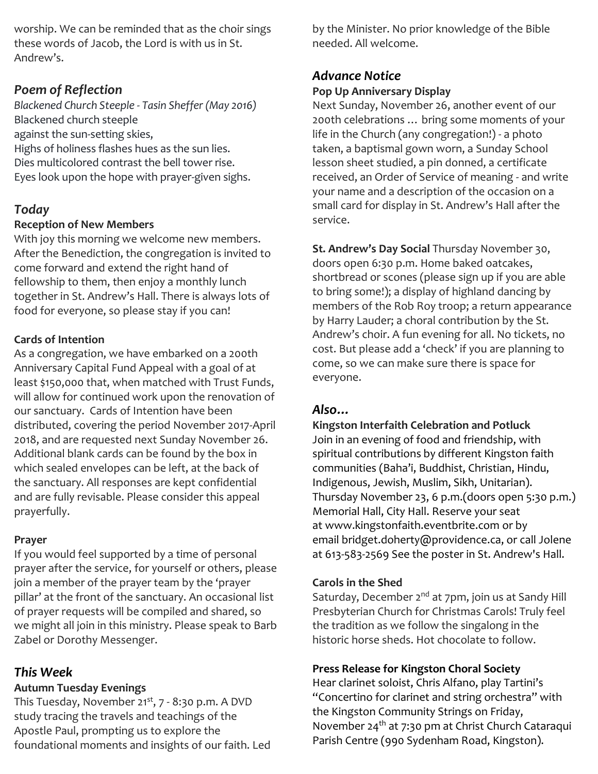worship. We can be reminded that as the choir sings these words of Jacob, the Lord is with us in St. Andrew's.

## *Poem of Reflection*

*Blackened Church Steeple - Tasin Sheffer (May 2016)* Blackened church steeple against the sun-setting skies, Highs of holiness flashes hues as the sun lies. Dies multicolored contrast the bell tower rise. Eyes look upon the hope with prayer-given sighs.

## *Today*

#### **Reception of New Members**

With joy this morning we welcome new members. After the Benediction, the congregation is invited to come forward and extend the right hand of fellowship to them, then enjoy a monthly lunch together in St. Andrew's Hall. There is always lots of food for everyone, so please stay if you can!

## **Cards of Intention**

As a congregation, we have embarked on a 200th Anniversary Capital Fund Appeal with a goal of at least \$150,000 that, when matched with Trust Funds, will allow for continued work upon the renovation of our sanctuary. Cards of Intention have been distributed, covering the period November 2017-April 2018, and are requested next Sunday November 26. Additional blank cards can be found by the box in which sealed envelopes can be left, at the back of the sanctuary. All responses are kept confidential and are fully revisable. Please consider this appeal prayerfully.

#### **Prayer**

If you would feel supported by a time of personal prayer after the service, for yourself or others, please join a member of the prayer team by the 'prayer pillar' at the front of the sanctuary. An occasional list of prayer requests will be compiled and shared, so we might all join in this ministry. Please speak to Barb Zabel or Dorothy Messenger.

## *This Week*

#### **Autumn Tuesday Evenings**

This Tuesday, November 21<sup>st</sup>, 7 - 8:30 p.m. A DVD study tracing the travels and teachings of the Apostle Paul, prompting us to explore the foundational moments and insights of our faith. Led by the Minister. No prior knowledge of the Bible needed. All welcome.

## *Advance Notice*

## **Pop Up Anniversary Display**

Next Sunday, November 26, another event of our 200th celebrations … bring some moments of your life in the Church (any congregation!) - a photo taken, a baptismal gown worn, a Sunday School lesson sheet studied, a pin donned, a certificate received, an Order of Service of meaning - and write your name and a description of the occasion on a small card for display in St. Andrew's Hall after the service.

**St. Andrew's Day Social** Thursday November 30, doors open 6:30 p.m. Home baked oatcakes, shortbread or scones (please sign up if you are able to bring some!); a display of highland dancing by members of the Rob Roy troop; a return appearance by Harry Lauder; a choral contribution by the St. Andrew's choir. A fun evening for all. No tickets, no cost. But please add a 'check' if you are planning to come, so we can make sure there is space for everyone.

## *Also…*

#### **Kingston Interfaith Celebration and Potluck**

Join in an evening of food and friendship, with spiritual contributions by different Kingston faith communities (Baha'i, Buddhist, Christian, Hindu, Indigenous, Jewish, Muslim, Sikh, Unitarian). Thursday November 23, 6 p.m.(doors open 5:30 p.m.) Memorial Hall, City Hall. Reserve your seat at www.kingstonfaith.eventbrite.com or by email bridget.doherty@providence.ca, or call Jolene at 613-583-2569 See the poster in St. Andrew's Hall.

## **Carols in the Shed**

Saturday, December 2<sup>nd</sup> at 7pm, join us at Sandy Hill Presbyterian Church for Christmas Carols! Truly feel the tradition as we follow the singalong in the historic horse sheds. Hot chocolate to follow.

## **Press Release for Kingston Choral Society**

Hear clarinet soloist, Chris Alfano, play Tartini's "Concertino for clarinet and string orchestra" with the Kingston Community Strings on Friday, November 24<sup>th</sup> at 7:30 pm at Christ Church Cataraqui Parish Centre (990 Sydenham Road, Kingston).